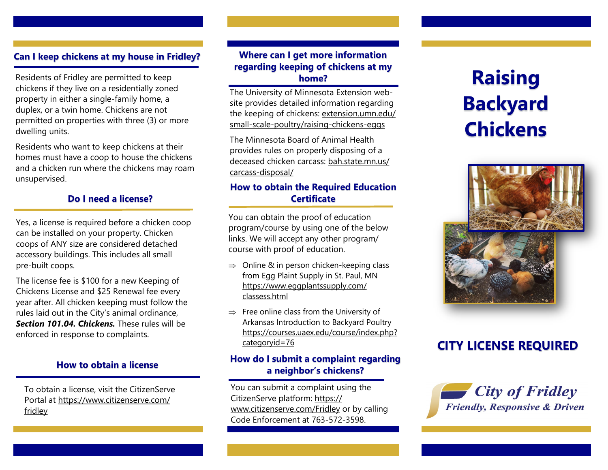### **Can I keep chickens at my house in Fridley?**

Residents of Fridley are permitted to keep chickens if they live on a residentially zoned property in either a single-family home, a duplex, or a twin home. Chickens are not permitted on properties with three (3) or more dwelling units.

Residents who want to keep chickens at their homes must have a coop to house the chickens and a chicken run where the chickens may roam unsupervised.

### **Do I need a license?**

Yes, a license is required before a chicken coop can be installed on your property. Chicken coops of ANY size are considered detached accessory buildings. This includes all small pre-built coops.

The license fee is \$100 for a new Keeping of Chickens License and \$25 Renewal fee every year after. All chicken keeping must follow the rules laid out in the City's animal ordinance, *Section 101.04. Chickens.* These rules will be enforced in response to complaints.

#### **How to obtain a license**

To obtain a license, visit the CitizenServe Portal at https://www.citizenserve.com/ fridley

## **Where can I get more information regarding keeping of chickens at my home?**

The University of Minnesota Extension website provides detailed information regarding the keeping of chickens: extension.umn.edu/ small-scale-poultry/raising-chickens-eggs

The Minnesota Board of Animal Health provides rules on properly disposing of a deceased chicken carcass: bah.state.mn.us/ carcass-disposal/

## **How to obtain the Required Education Certificate**

You can obtain the proof of education program/course by using one of the below links. We will accept any other program/ course with proof of education.

- $\Rightarrow$  Online & in person chicken-keeping class from Egg Plaint Supply in St. Paul, MN https://www.eggplantssupply.com/ classess.html
- $\Rightarrow$  Free online class from the University of Arkansas Introduction to Backyard Poultry https://courses.uaex.edu/course/index.php? categoryid=76

### **How do I submit a complaint regarding a neighbor's chickens?**

You can submit a complaint using the CitizenServe platform: https:// www.citizenserve.com/Fridley or by calling Code Enforcement at 763-572-3598.

# **Raising Backyard Chickens**



## **CITY LICENSE REQUIRED**